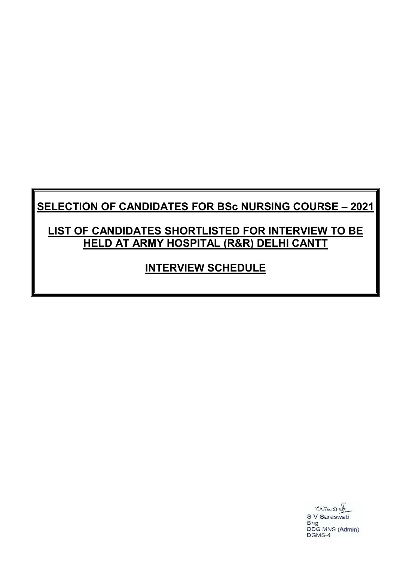# **SELECTION OF CANDIDATES FOR BSc NURSING COURSE – 2021**

## **LIST OF CANDIDATES SHORTLISTED FOR INTERVIEW TO BE HELD AT ARMY HOSPITAL (R&R) DELHI CANTT**

## **INTERVIEW SCHEDULE**

carasab S V Saraswati Brig DDG MNS (Admin) DGMS-4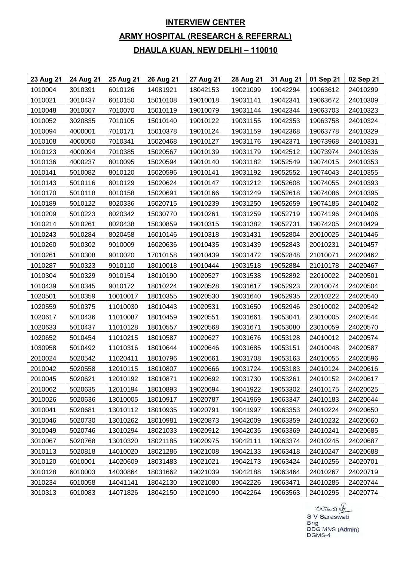### **INTERVIEW CENTER ARMY HOSPITAL (RESEARCH & REFERRAL) DHAULA KUAN, NEW DELHI – 110010**

| 23 Aug 21 | 24 Aug 21 | 25 Aug 21 | 26 Aug 21 | 27 Aug 21 | 28 Aug 21 | 31 Aug 21 | 01 Sep 21 | 02 Sep 21 |
|-----------|-----------|-----------|-----------|-----------|-----------|-----------|-----------|-----------|
| 1010004   | 3010391   | 6010126   | 14081921  | 18042153  | 19021099  | 19042294  | 19063612  | 24010299  |
| 1010021   | 3010437   | 6010150   | 15010108  | 19010018  | 19031141  | 19042341  | 19063672  | 24010309  |
| 1010048   | 3010607   | 7010070   | 15010119  | 19010079  | 19031144  | 19042344  | 19063703  | 24010323  |
| 1010052   | 3020835   | 7010105   | 15010140  | 19010122  | 19031155  | 19042353  | 19063758  | 24010324  |
| 1010094   | 4000001   | 7010171   | 15010378  | 19010124  | 19031159  | 19042368  | 19063778  | 24010329  |
| 1010108   | 4000050   | 7010341   | 15020468  | 19010127  | 19031176  | 19042371  | 19073968  | 24010331  |
| 1010123   | 4000094   | 7010385   | 15020567  | 19010139  | 19031179  | 19042512  | 19073974  | 24010336  |
| 1010136   | 4000237   | 8010095   | 15020594  | 19010140  | 19031182  | 19052549  | 19074015  | 24010353  |
| 1010141   | 5010082   | 8010120   | 15020596  | 19010141  | 19031192  | 19052552  | 19074043  | 24010355  |
| 1010143   | 5010116   | 8010129   | 15020624  | 19010147  | 19031212  | 19052608  | 19074055  | 24010393  |
| 1010170   | 5010118   | 8010158   | 15020691  | 19010166  | 19031249  | 19052618  | 19074086  | 24010395  |
| 1010189   | 5010122   | 8020336   | 15020715  | 19010239  | 19031250  | 19052659  | 19074185  | 24010402  |
| 1010209   | 5010223   | 8020342   | 15030770  | 19010261  | 19031259  | 19052719  | 19074196  | 24010406  |
| 1010214   | 5010261   | 8020438   | 15030859  | 19010315  | 19031382  | 19052731  | 19074205  | 24010429  |
| 1010243   | 5010284   | 8020458   | 16010146  | 19010318  | 19031431  | 19052804  | 20010025  | 24010446  |
| 1010260   | 5010302   | 9010009   | 16020636  | 19010435  | 19031439  | 19052843  | 20010231  | 24010457  |
| 1010261   | 5010308   | 9010020   | 17010158  | 19010439  | 19031472  | 19052848  | 21010071  | 24020462  |
| 1010287   | 5010323   | 9010110   | 18010018  | 19010444  | 19031518  | 19052884  | 21010178  | 24020467  |
| 1010304   | 5010329   | 9010154   | 18010190  | 19020527  | 19031538  | 19052892  | 22010022  | 24020501  |
| 1010439   | 5010345   | 9010172   | 18010224  | 19020528  | 19031617  | 19052923  | 22010074  | 24020504  |
| 1020501   | 5010359   | 10010017  | 18010355  | 19020530  | 19031640  | 19052935  | 22010222  | 24020540  |
| 1020559   | 5010375   | 11010030  | 18010443  | 19020531  | 19031650  | 19052946  | 23010002  | 24020542  |
| 1020617   | 5010436   | 11010087  | 18010459  | 19020551  | 19031661  | 19053041  | 23010005  | 24020544  |
| 1020633   | 5010437   | 11010128  | 18010557  | 19020568  | 19031671  | 19053080  | 23010059  | 24020570  |
| 1020652   | 5010454   | 11010215  | 18010587  | 19020627  | 19031676  | 19053128  | 24010012  | 24020574  |
| 1030958   | 5010492   | 11010316  | 18010644  | 19020646  | 19031685  | 19053151  | 24010048  | 24020587  |
| 2010024   | 5020542   | 11020411  | 18010796  | 19020661  | 19031708  | 19053163  | 24010055  | 24020596  |
| 2010042   | 5020558   | 12010115  | 18010807  | 19020666  | 19031724  | 19053183  | 24010124  | 24020616  |
| 2010045   | 5020621   | 12010192  | 18010871  | 19020692  | 19031730  | 19053261  | 24010152  | 24020617  |
| 2010062   | 5020635   | 12010194  | 18010893  | 19020694  | 19041922  | 19053302  | 24010175  | 24020625  |
| 3010026   | 5020636   | 13010005  | 18010917  | 19020787  | 19041969  | 19063347  | 24010183  | 24020644  |
| 3010041   | 5020681   | 13010112  | 18010935  | 19020791  | 19041997  | 19063353  | 24010224  | 24020650  |
| 3010046   | 5020730   | 13010262  | 18010981  | 19020873  | 19042009  | 19063359  | 24010232  | 24020660  |
| 3010049   | 5020746   | 13010294  | 18021033  | 19020912  | 19042035  | 19063369  | 24010241  | 24020685  |
| 3010067   | 5020768   | 13010320  | 18021185  | 19020975  | 19042111  | 19063374  | 24010245  | 24020687  |
| 3010113   | 5020818   | 14010020  | 18021286  | 19021008  | 19042133  | 19063418  | 24010247  | 24020688  |
| 3010120   | 6010001   | 14020609  | 18031483  | 19021021  | 19042173  | 19063424  | 24010256  | 24020701  |
| 3010128   | 6010003   | 14030864  | 18031662  | 19021039  | 19042188  | 19063464  | 24010267  | 24020719  |
| 3010234   | 6010058   | 14041141  | 18042130  | 19021080  | 19042226  | 19063471  | 24010285  | 24020744  |
| 3010313   | 6010083   | 14071826  | 18042150  | 19021090  | 19042264  | 19063563  | 24010295  | 24020774  |

Caras<br>SV Saraswati<br>Brig<br>DDG MNS (Admin)<br>DGMS-4